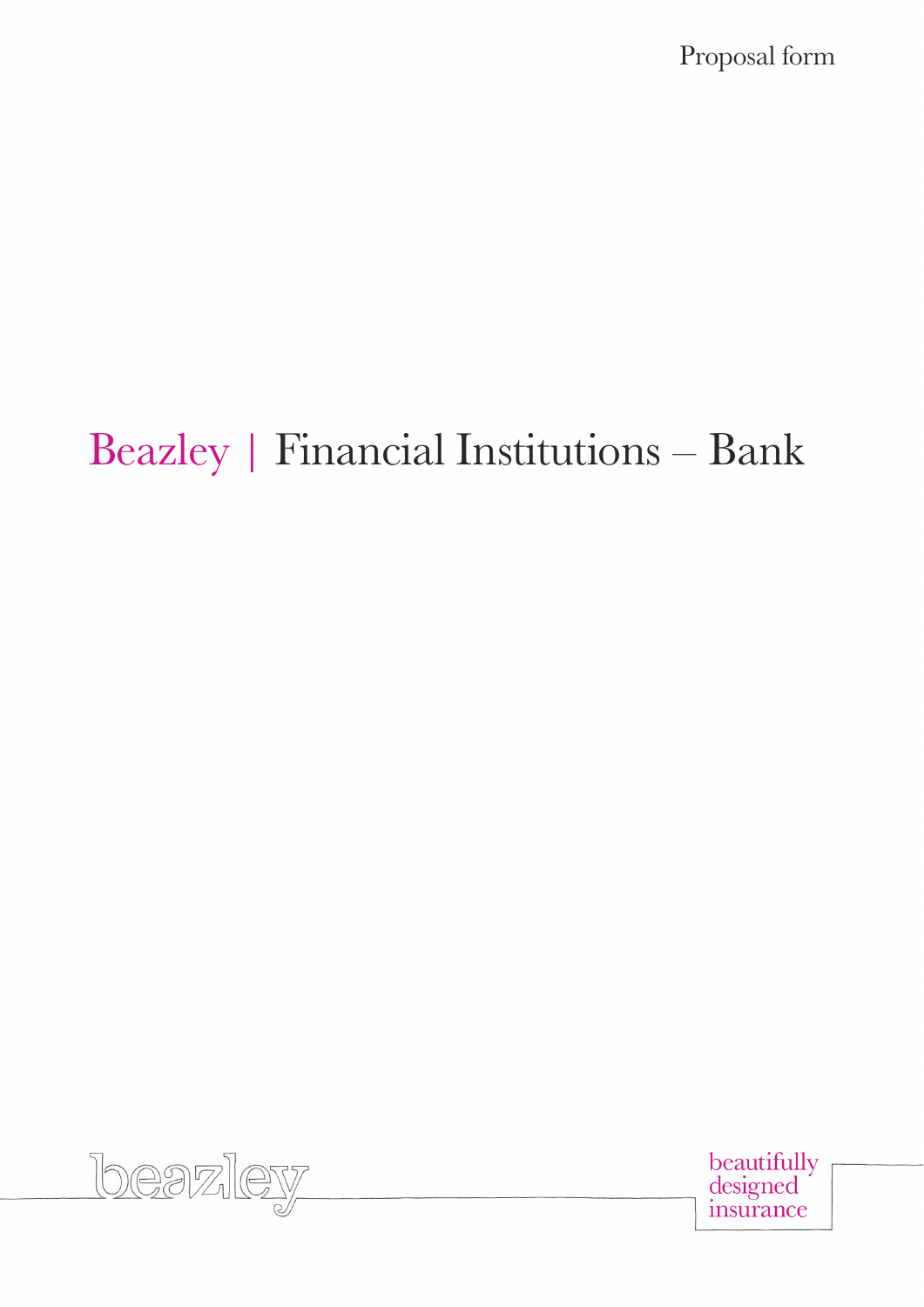Proposal form

# Beazley | Financial Institutions – Bank



beautifully<br>designed insurance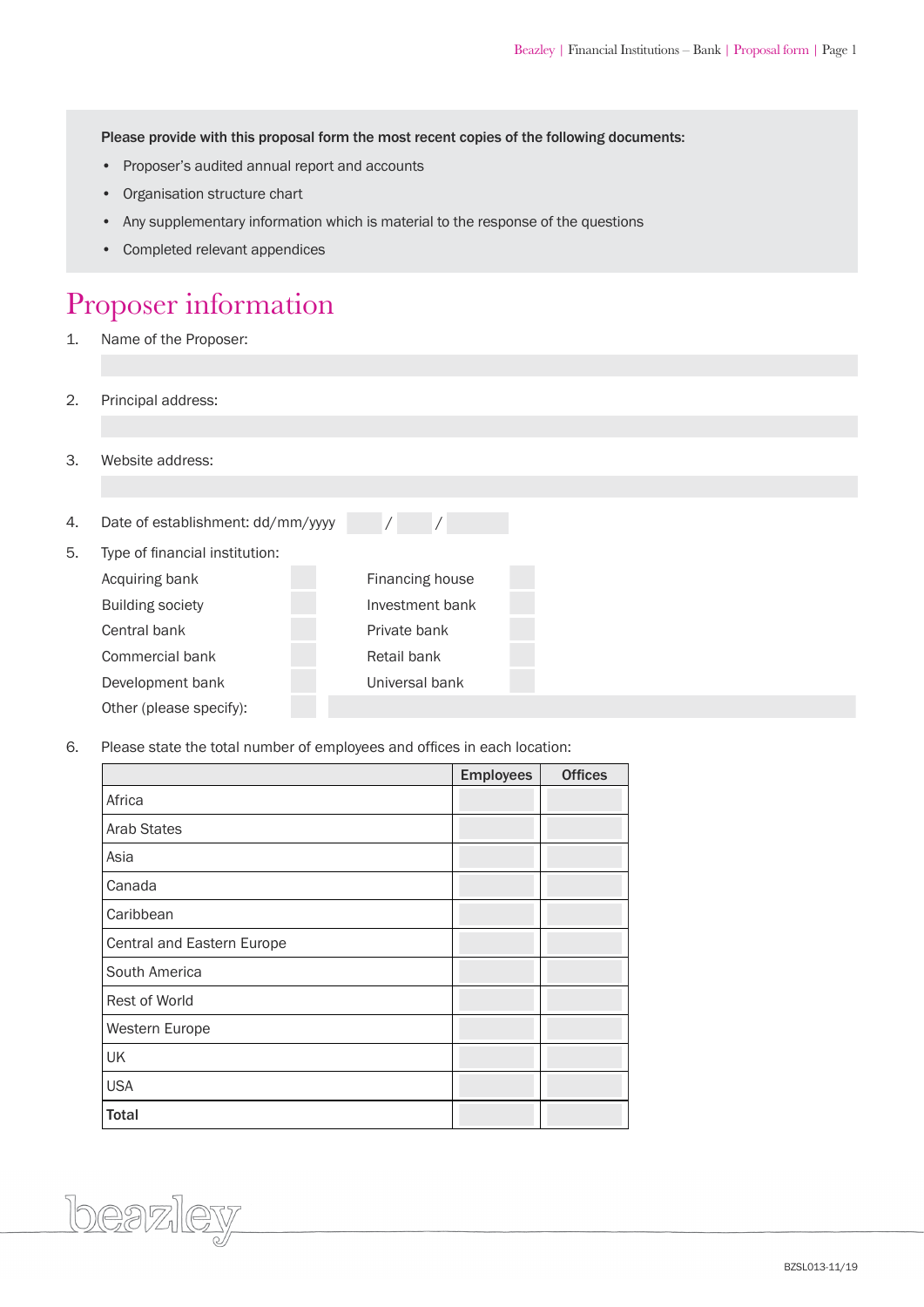Please provide with this proposal form the most recent copies of the following documents:

- Proposer's audited annual report and accounts
- Organisation structure chart
- Any supplementary information which is material to the response of the questions
- Completed relevant appendices

#### Proposer information

- 1. Name of the Proposer:
- 2. Principal address:
- 3. Website address:

beazley

| 4. | Date of establishment: dd/mm/yyyy |                 |  |
|----|-----------------------------------|-----------------|--|
| 5. | Type of financial institution:    |                 |  |
|    | Acquiring bank                    | Financing house |  |
|    | <b>Building society</b>           | Investment bank |  |
|    | Central bank                      | Private bank    |  |
|    | Commercial bank                   | Retail bank     |  |
|    | Development bank                  | Universal bank  |  |
|    | Other (please specify):           |                 |  |

6. Please state the total number of employees and offices in each location:

|                            | <b>Employees</b> | <b>Offices</b> |
|----------------------------|------------------|----------------|
| Africa                     |                  |                |
| <b>Arab States</b>         |                  |                |
| Asia                       |                  |                |
| Canada                     |                  |                |
| Caribbean                  |                  |                |
| Central and Eastern Europe |                  |                |
| South America              |                  |                |
| Rest of World              |                  |                |
| Western Europe             |                  |                |
| UK                         |                  |                |
| <b>USA</b>                 |                  |                |
| <b>Total</b>               |                  |                |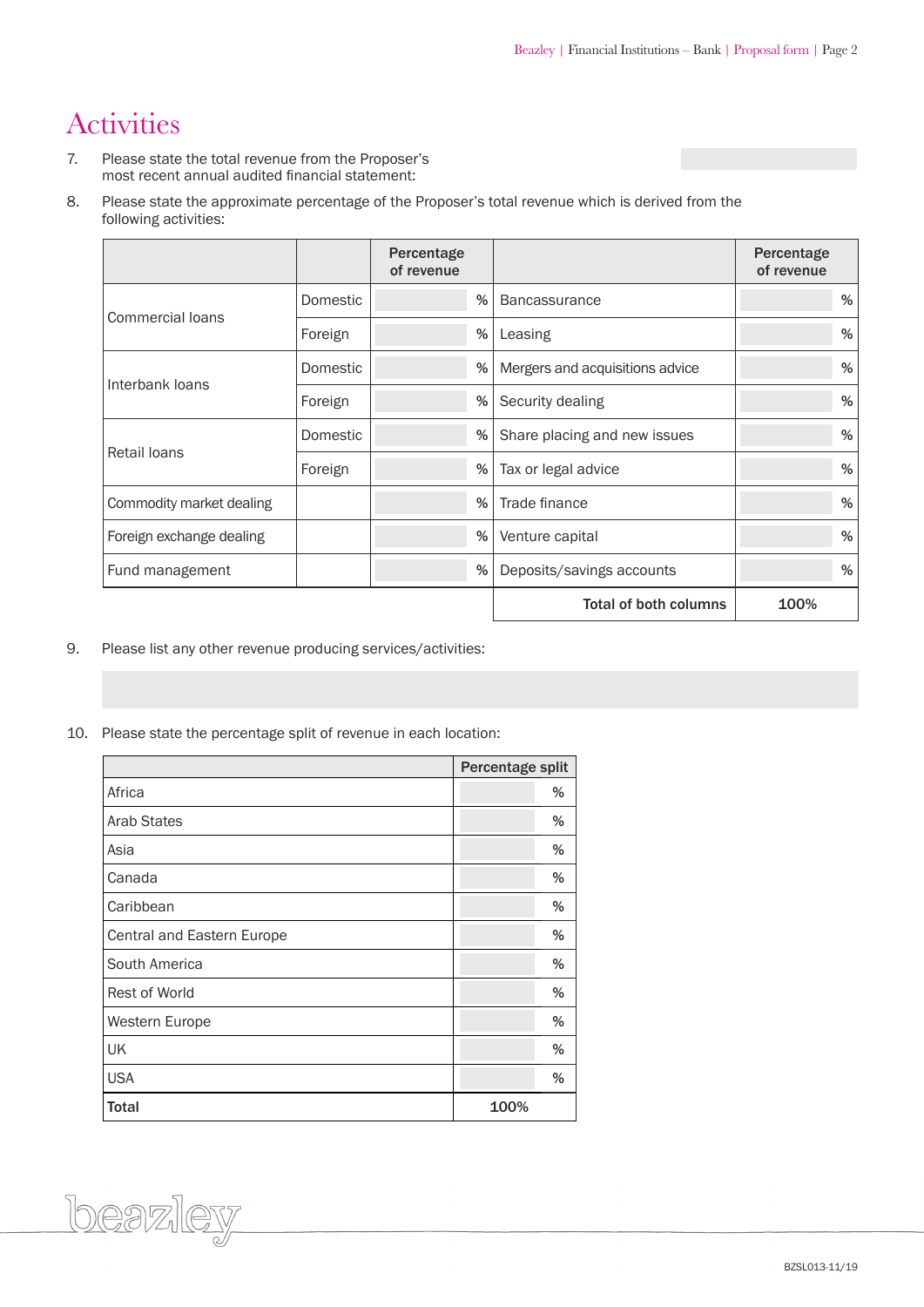### Activities

- 7. Please state the total revenue from the Proposer's most recent annual audited financial statement:
- 8. Please state the approximate percentage of the Proposer's total revenue which is derived from the following activities:

|                          |          | Percentage<br>of revenue |                                 | Percentage<br>of revenue |
|--------------------------|----------|--------------------------|---------------------------------|--------------------------|
| Commercial loans         | Domestic | %                        | <b>Bancassurance</b>            | %                        |
|                          | Foreign  | %                        | Leasing                         | %                        |
|                          | Domestic | %                        | Mergers and acquisitions advice | %                        |
| Interbank loans          | Foreign  | %                        | Security dealing                | %                        |
| <b>Retail loans</b>      | Domestic | %                        | Share placing and new issues    | %                        |
|                          | Foreign  | %                        | Tax or legal advice             | $\%$                     |
| Commodity market dealing |          | $\%$                     | Trade finance                   | %                        |
| Foreign exchange dealing |          | $\%$                     | Venture capital                 | %                        |
| Fund management          |          | %                        | Deposits/savings accounts       | $\%$                     |
|                          |          |                          | <b>Total of both columns</b>    | 100%                     |

- 9. Please list any other revenue producing services/activities:
- 10. Please state the percentage split of revenue in each location:

<u>loeazlev</u>

|                            | Percentage split |   |
|----------------------------|------------------|---|
| Africa                     |                  | % |
| <b>Arab States</b>         |                  | % |
| Asia                       |                  | % |
| Canada                     |                  | % |
| Caribbean                  |                  | % |
| Central and Eastern Europe |                  | % |
| South America              |                  | % |
| Rest of World              |                  | % |
| Western Europe             |                  | % |
| <b>UK</b>                  |                  | % |
| <b>USA</b>                 |                  | % |
| <b>Total</b>               | 100%             |   |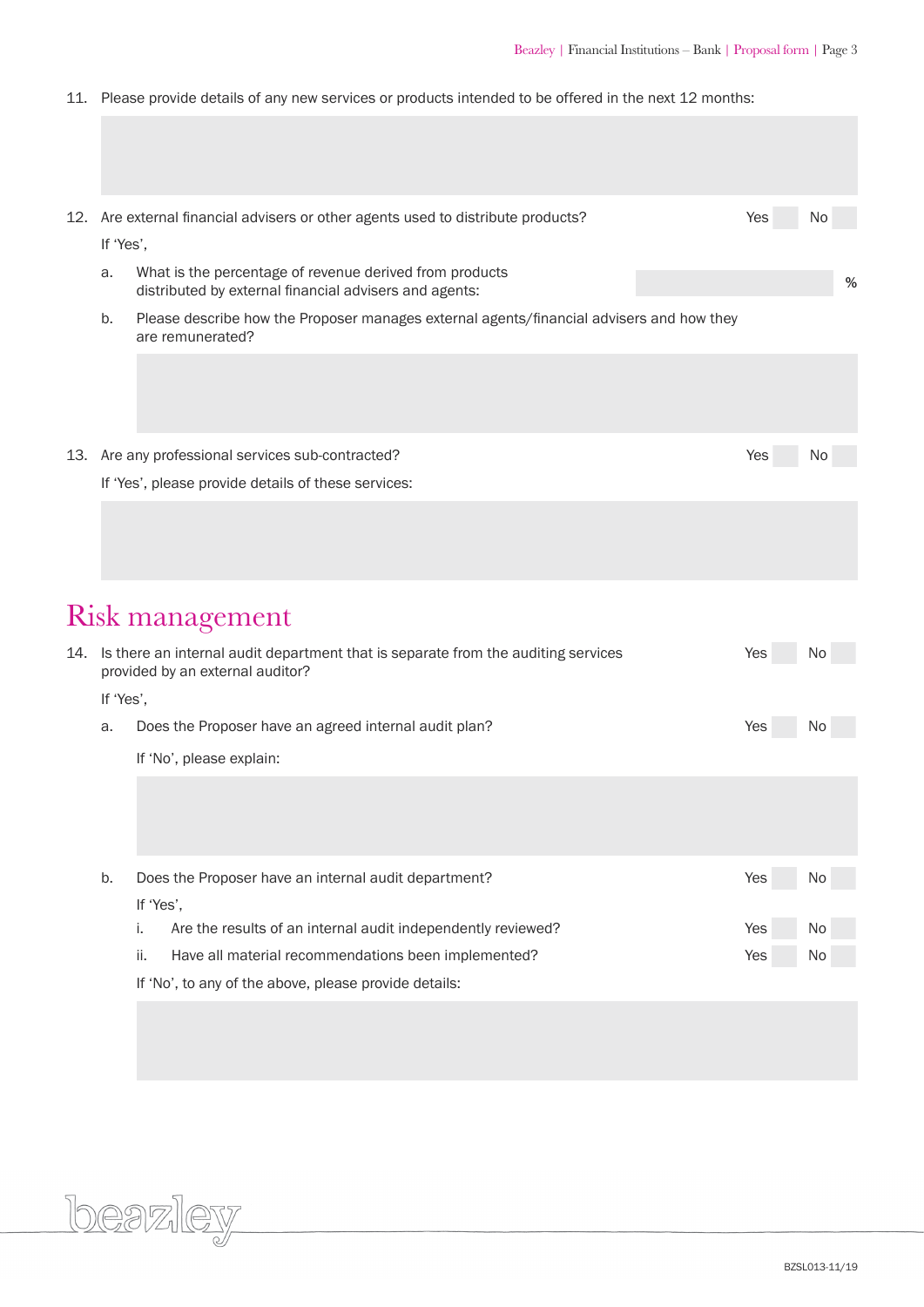11. Please provide details of any new services or products intended to be offered in the next 12 months:

| 12. |           | Are external financial advisers or other agents used to distribute products?                                                     | Yes        | No       |
|-----|-----------|----------------------------------------------------------------------------------------------------------------------------------|------------|----------|
|     | If 'Yes', |                                                                                                                                  |            |          |
|     | a.        | What is the percentage of revenue derived from products<br>distributed by external financial advisers and agents:                |            | %        |
|     | b.        | Please describe how the Proposer manages external agents/financial advisers and how they<br>are remunerated?                     |            |          |
|     |           |                                                                                                                                  |            |          |
|     |           | 13. Are any professional services sub-contracted?                                                                                | Yes        | N0       |
|     |           | If 'Yes', please provide details of these services:                                                                              |            |          |
|     |           |                                                                                                                                  |            |          |
|     |           | Risk management                                                                                                                  |            |          |
|     | If 'Yes', | 14. Is there an internal audit department that is separate from the auditing services<br>provided by an external auditor?        | Yes        | N0       |
|     | a.        | Does the Proposer have an agreed internal audit plan?                                                                            | Yes        |          |
|     |           | If 'No', please explain:                                                                                                         |            |          |
|     |           |                                                                                                                                  |            |          |
|     | b.        | Does the Proposer have an internal audit department?                                                                             | Yes        | No       |
|     |           | If 'Yes',                                                                                                                        |            |          |
|     |           | Are the results of an internal audit independently reviewed?<br>i.<br>ii.<br>Have all material recommendations been implemented? | Yes<br>Yes | No<br>No |
|     |           | If 'No', to any of the above, please provide details:                                                                            |            |          |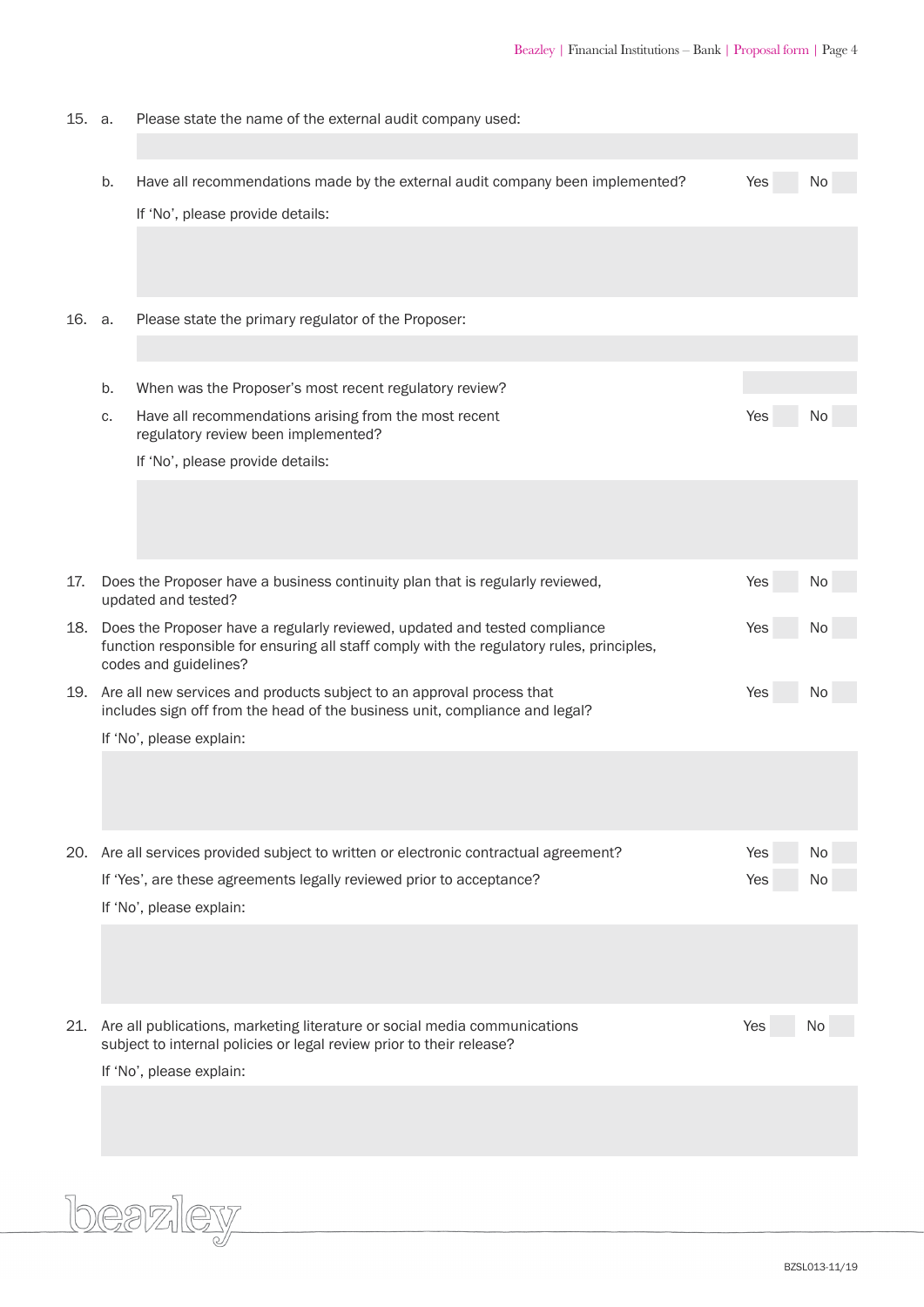| 15. a. |    | Please state the name of the external audit company used:                                                                                                |     |     |
|--------|----|----------------------------------------------------------------------------------------------------------------------------------------------------------|-----|-----|
|        |    |                                                                                                                                                          |     |     |
|        | b. | Have all recommendations made by the external audit company been implemented?                                                                            | Yes | No  |
|        |    | If 'No', please provide details:                                                                                                                         |     |     |
|        |    |                                                                                                                                                          |     |     |
|        |    |                                                                                                                                                          |     |     |
| 16.    | а. | Please state the primary regulator of the Proposer:                                                                                                      |     |     |
|        |    |                                                                                                                                                          |     |     |
|        |    |                                                                                                                                                          |     |     |
|        | b. | When was the Proposer's most recent regulatory review?                                                                                                   |     |     |
|        | C. | Have all recommendations arising from the most recent<br>regulatory review been implemented?                                                             | Yes | No. |
|        |    | If 'No', please provide details:                                                                                                                         |     |     |
|        |    |                                                                                                                                                          |     |     |
|        |    |                                                                                                                                                          |     |     |
|        |    |                                                                                                                                                          |     |     |
| 17.    |    | Does the Proposer have a business continuity plan that is regularly reviewed,                                                                            | Yes | No  |
| 18.    |    | updated and tested?<br>Does the Proposer have a regularly reviewed, updated and tested compliance                                                        | Yes | Νo  |
|        |    | function responsible for ensuring all staff comply with the regulatory rules, principles,<br>codes and guidelines?                                       |     |     |
|        |    | 19. Are all new services and products subject to an approval process that<br>includes sign off from the head of the business unit, compliance and legal? | Yes | No  |
|        |    | If 'No', please explain:                                                                                                                                 |     |     |
|        |    |                                                                                                                                                          |     |     |
|        |    |                                                                                                                                                          |     |     |
|        |    |                                                                                                                                                          |     |     |
| 20.    |    | Are all services provided subject to written or electronic contractual agreement?                                                                        | Yes | No  |
|        |    | If 'Yes', are these agreements legally reviewed prior to acceptance?                                                                                     | Yes | No  |
|        |    | If 'No', please explain:                                                                                                                                 |     |     |
|        |    |                                                                                                                                                          |     |     |
|        |    |                                                                                                                                                          |     |     |
|        |    |                                                                                                                                                          |     |     |
| 21.    |    | Are all publications, marketing literature or social media communications<br>subject to internal policies or legal review prior to their release?        | Yes |     |
|        |    | If 'No', please explain:                                                                                                                                 |     |     |
|        |    |                                                                                                                                                          |     |     |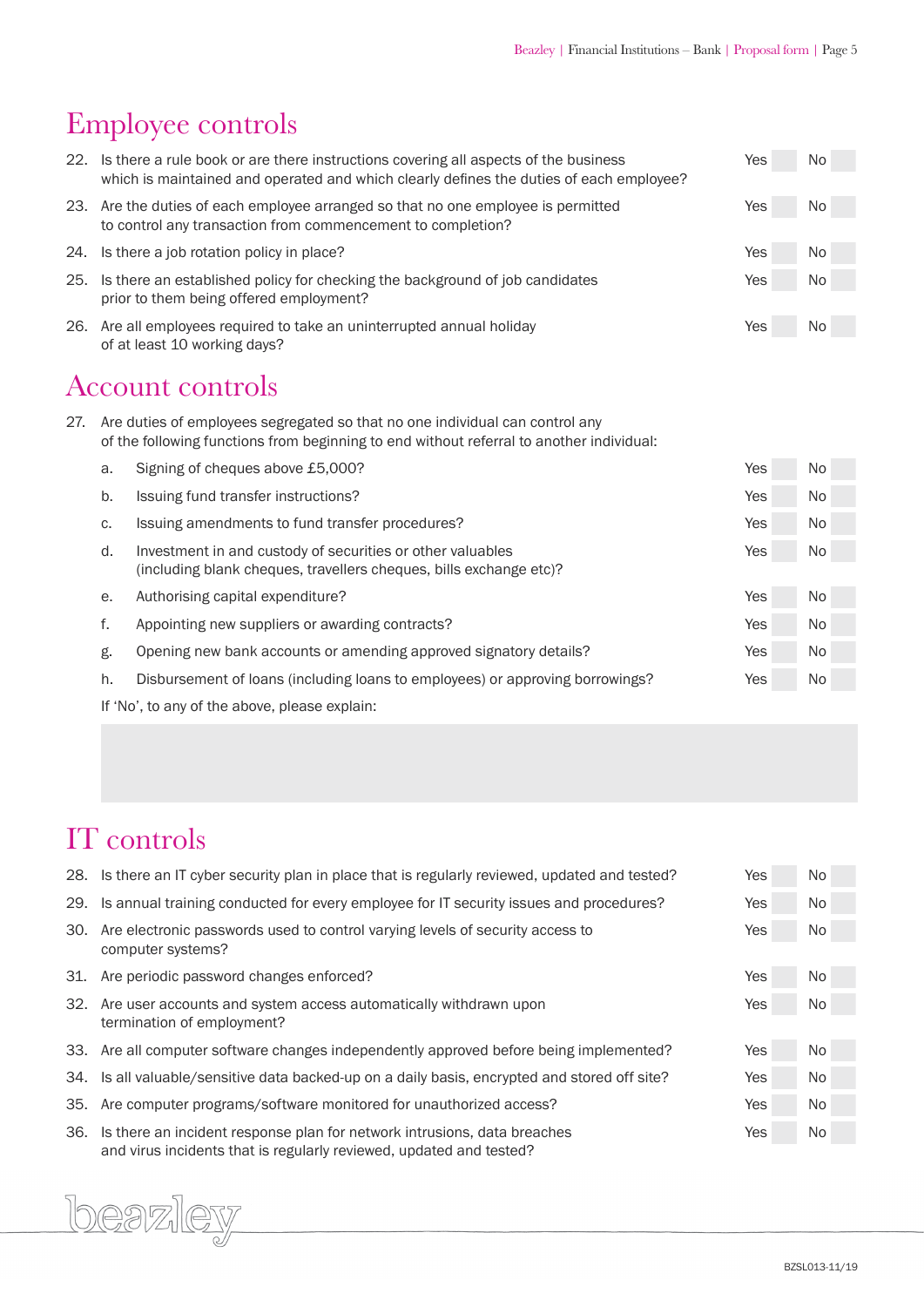### Employee controls

| 22. |                                                                                                         | Is there a rule book or are there instructions covering all aspects of the business<br>which is maintained and operated and which clearly defines the duties of each employee? | Yes | No        |  |
|-----|---------------------------------------------------------------------------------------------------------|--------------------------------------------------------------------------------------------------------------------------------------------------------------------------------|-----|-----------|--|
|     |                                                                                                         | 23. Are the duties of each employee arranged so that no one employee is permitted<br>to control any transaction from commencement to completion?                               | Yes | No        |  |
| 24. |                                                                                                         | Is there a job rotation policy in place?                                                                                                                                       | Yes | <b>No</b> |  |
| 25. |                                                                                                         | Is there an established policy for checking the background of job candidates<br>prior to them being offered employment?                                                        | Yes | No        |  |
| 26. |                                                                                                         | Are all employees required to take an uninterrupted annual holiday<br>of at least 10 working days?                                                                             | Yes | No        |  |
| 27. | <b>Account controls</b><br>Are duties of employees segregated so that no one individual can control any |                                                                                                                                                                                |     |           |  |
|     |                                                                                                         | of the following functions from beginning to end without referral to another individual:                                                                                       |     |           |  |
|     | a.                                                                                                      | Signing of cheques above £5,000?                                                                                                                                               | Yes | No        |  |
|     | b.                                                                                                      | Issuing fund transfer instructions?                                                                                                                                            | Yes | No.       |  |
|     | C.                                                                                                      | Issuing amendments to fund transfer procedures?                                                                                                                                | Yes | <b>No</b> |  |
|     | d.                                                                                                      | Investment in and custody of securities or other valuables<br>(including blank cheques, travellers cheques, bills exchange etc)?                                               | Yes | No        |  |
|     | е.                                                                                                      | Authorising capital expenditure?                                                                                                                                               | Yes | No        |  |
|     | f.                                                                                                      | Appointing new suppliers or awarding contracts?                                                                                                                                | Yes | No        |  |
|     | g.                                                                                                      | Opening new bank accounts or amending approved signatory details?                                                                                                              | Yes | No        |  |
|     | h.                                                                                                      | Disbursement of loans (including loans to employees) or approving borrowings?                                                                                                  | Yes | No        |  |
|     |                                                                                                         |                                                                                                                                                                                |     |           |  |

 If 'No', to any of the above, please explain:

### IT controls

| 28. | Is there an IT cyber security plan in place that is regularly reviewed, updated and tested?                                                     | Yes        | No. |
|-----|-------------------------------------------------------------------------------------------------------------------------------------------------|------------|-----|
| 29. | Is annual training conducted for every employee for IT security issues and procedures?                                                          | <b>Yes</b> | No. |
| 30. | Are electronic passwords used to control varying levels of security access to<br>computer systems?                                              | Yes        | No. |
| 31. | Are periodic password changes enforced?                                                                                                         | Yes        | No. |
| 32. | Are user accounts and system access automatically withdrawn upon<br>termination of employment?                                                  | Yes        | No. |
|     | 33. Are all computer software changes independently approved before being implemented?                                                          | Yes        | No. |
| 34. | Is all valuable/sensitive data backed-up on a daily basis, encrypted and stored off site?                                                       | Yes        | No. |
| 35. | Are computer programs/software monitored for unauthorized access?                                                                               | Yes        | No. |
| 36. | Is there an incident response plan for network intrusions, data breaches<br>and virus incidents that is regularly reviewed, updated and tested? | Yes        | No. |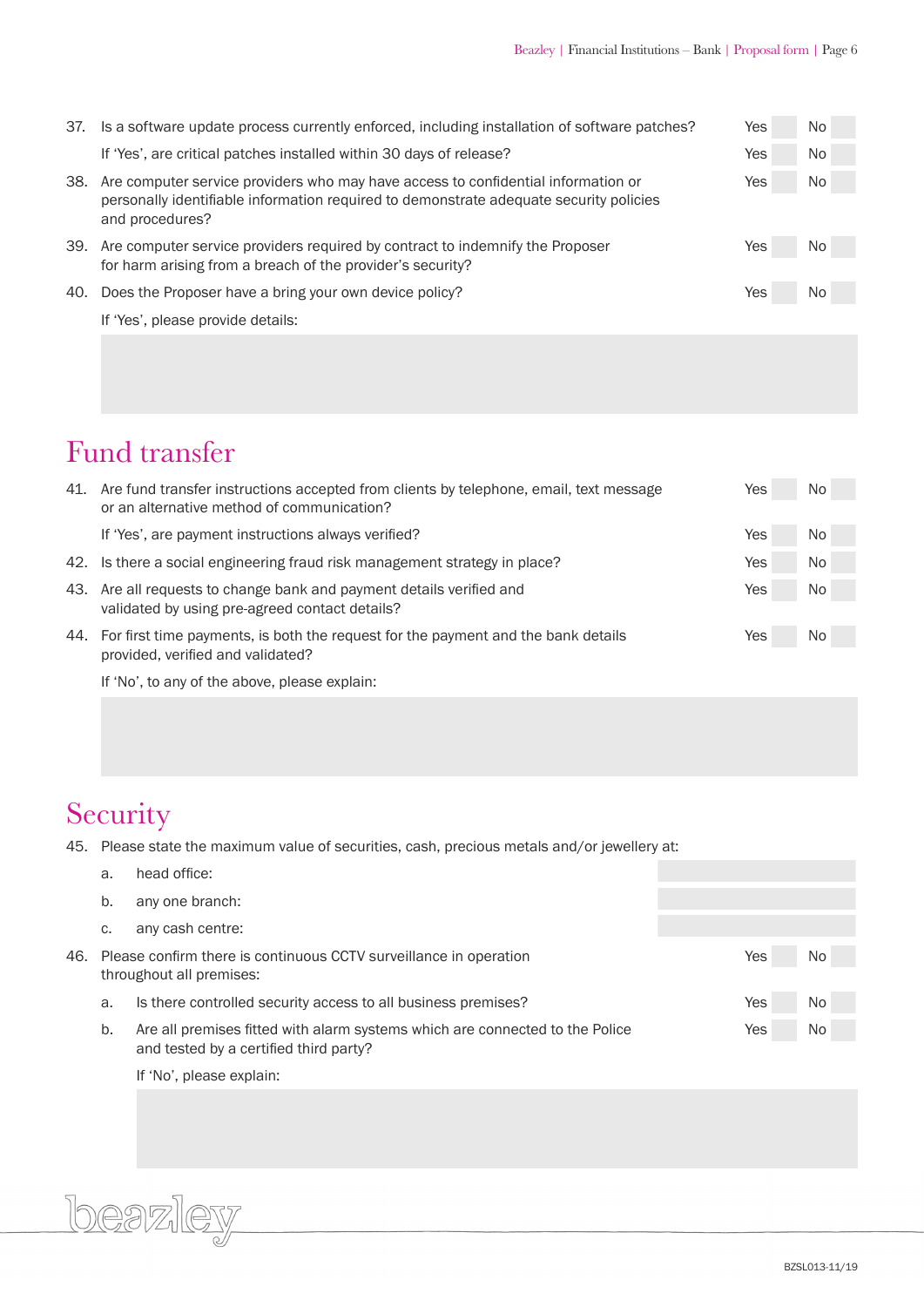| 37. | Is a software update process currently enforced, including installation of software patches?                                                                                                   | Yes | No. |
|-----|------------------------------------------------------------------------------------------------------------------------------------------------------------------------------------------------|-----|-----|
|     | If 'Yes', are critical patches installed within 30 days of release?                                                                                                                            | Yes | No. |
| 38. | Are computer service providers who may have access to confidential information or<br>personally identifiable information required to demonstrate adequate security policies<br>and procedures? | Yes | No. |
| 39. | Are computer service providers required by contract to indemnify the Proposer<br>for harm arising from a breach of the provider's security?                                                    | Yes | No. |
| 40. | Does the Proposer have a bring your own device policy?                                                                                                                                         | Yes | No. |
|     | If 'Yes', please provide details:                                                                                                                                                              |     |     |
|     |                                                                                                                                                                                                |     |     |

### Fund transfer

| 41. | Are fund transfer instructions accepted from clients by telephone, email, text message<br>or an alternative method of communication? | Yes | No. |
|-----|--------------------------------------------------------------------------------------------------------------------------------------|-----|-----|
|     | If 'Yes', are payment instructions always verified?                                                                                  | Yes | No. |
|     | 42. Is there a social engineering fraud risk management strategy in place?                                                           | Yes | No. |
|     | 43. Are all requests to change bank and payment details verified and<br>validated by using pre-agreed contact details?               | Yes | No. |
| 44. | For first time payments, is both the request for the payment and the bank details<br>provided, verified and validated?               | Yes | No. |

 If 'No', to any of the above, please explain:

### Security

45. Please state the maximum value of securities, cash, precious metals and/or jewellery at:

|     | a. | head office:                                                                                                           |     |     |
|-----|----|------------------------------------------------------------------------------------------------------------------------|-----|-----|
|     | b. | any one branch:                                                                                                        |     |     |
|     | C. | any cash centre:                                                                                                       |     |     |
| 46. |    | Please confirm there is continuous CCTV surveillance in operation<br>throughout all premises:                          | Yes | No. |
|     | a. | Is there controlled security access to all business premises?                                                          | Yes | No. |
|     | b. | Are all premises fitted with alarm systems which are connected to the Police<br>and tested by a certified third party? | Yes | No. |
|     |    | If 'No', please explain:                                                                                               |     |     |

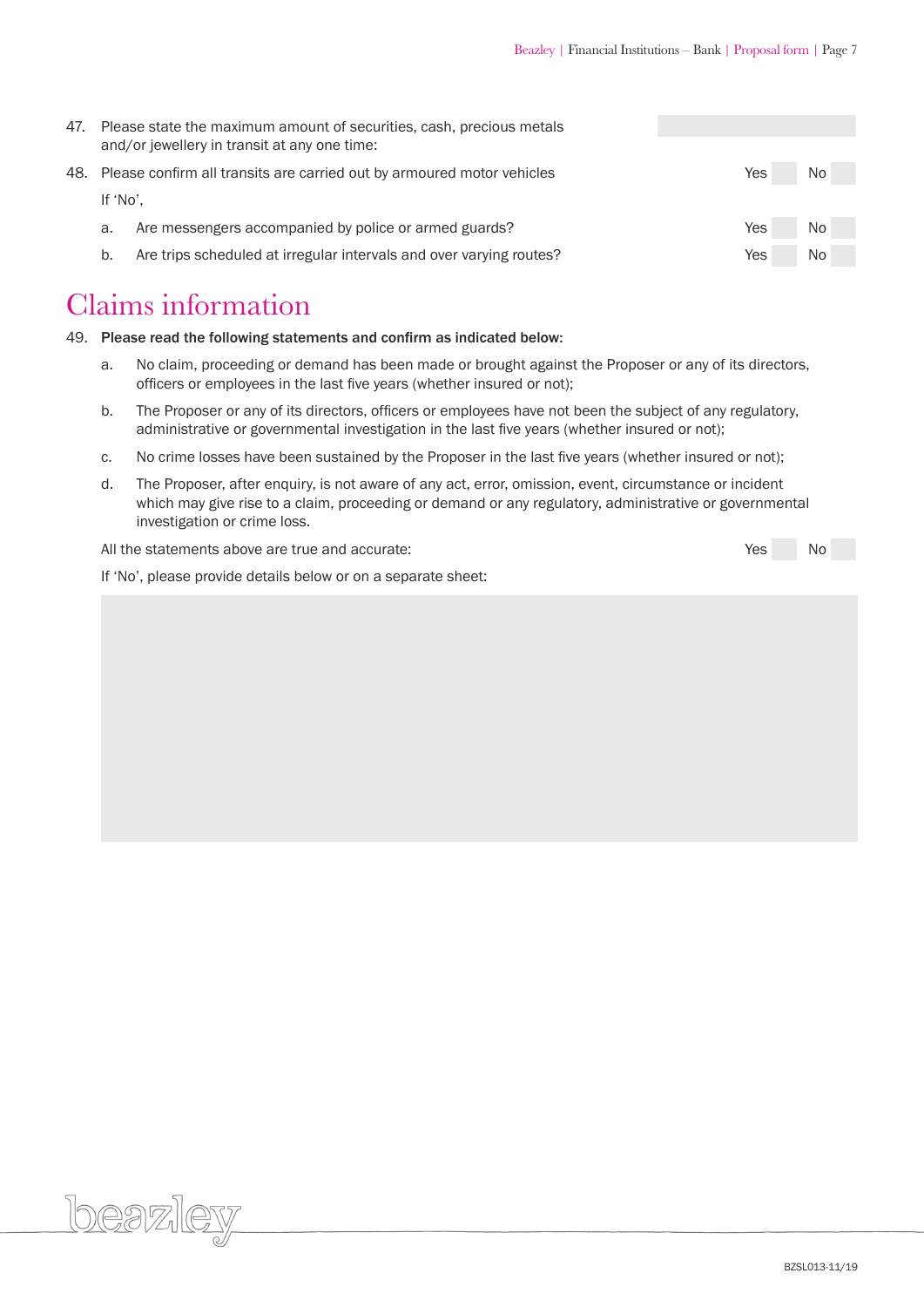| 47. |          | Please state the maximum amount of securities, cash, precious metals<br>and/or jewellery in transit at any one time: |     |     |  |
|-----|----------|----------------------------------------------------------------------------------------------------------------------|-----|-----|--|
|     |          | 48. Please confirm all transits are carried out by armoured motor vehicles                                           | Yes | No. |  |
|     | If 'No'. |                                                                                                                      |     |     |  |
|     | a.       | Are messengers accompanied by police or armed guards?                                                                | Yes | No. |  |
|     | b.       | Are trips scheduled at irregular intervals and over varying routes?                                                  | Yes | No. |  |

#### Claims information

beazley

49. Please read the following statements and confirm as indicated below:

- a. No claim, proceeding or demand has been made or brought against the Proposer or any of its directors, officers or employees in the last five years (whether insured or not);
- b. The Proposer or any of its directors, officers or employees have not been the subject of any regulatory, administrative or governmental investigation in the last five years (whether insured or not);
- c. No crime losses have been sustained by the Proposer in the last five years (whether insured or not);
- d. The Proposer, after enquiry, is not aware of any act, error, omission, event, circumstance or incident which may give rise to a claim, proceeding or demand or any regulatory, administrative or governmental investigation or crime loss.

 All the statements above are true and accurate: Yes No

 If 'No', please provide details below or on a separate sheet: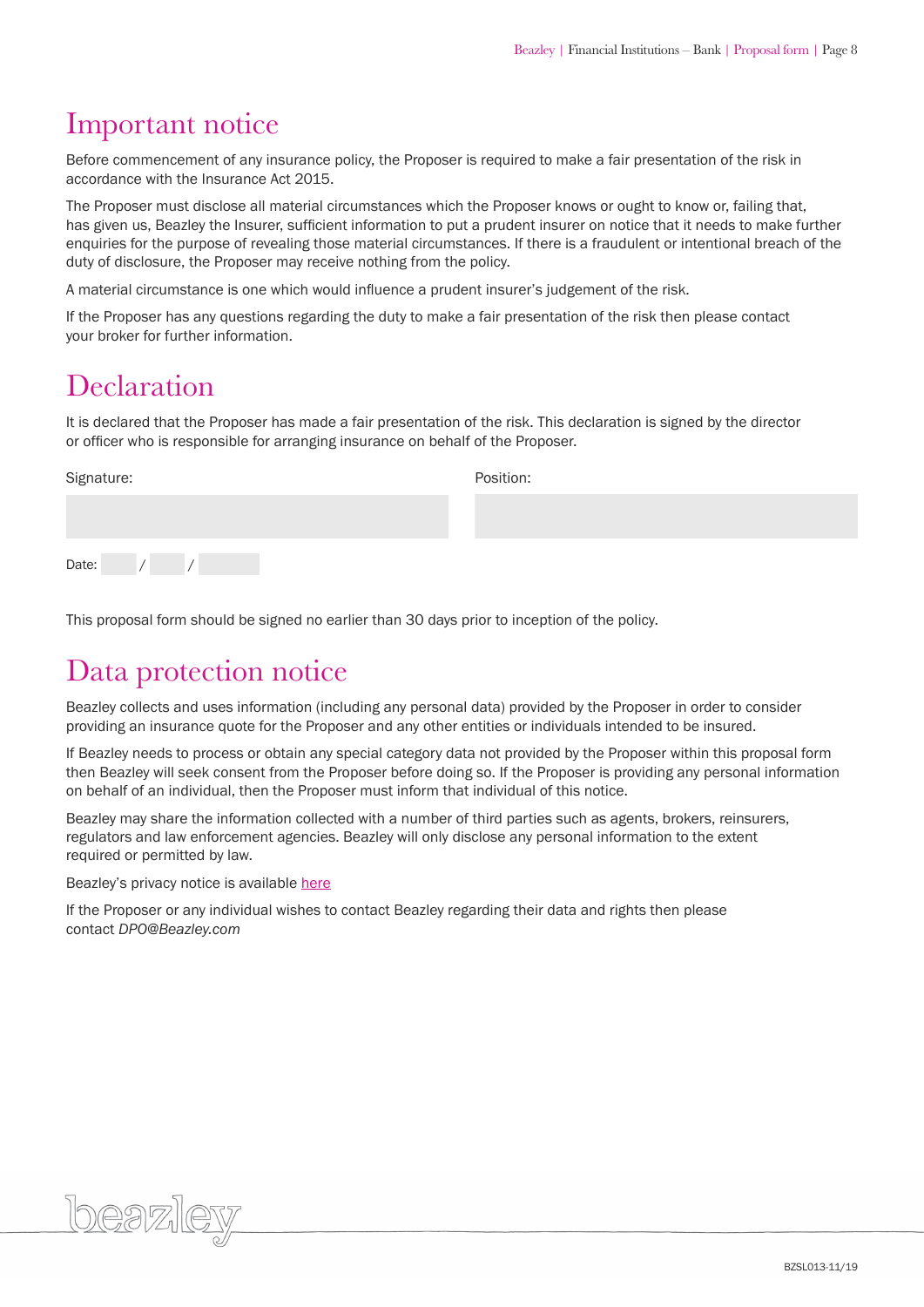#### Important notice

Before commencement of any insurance policy, the Proposer is required to make a fair presentation of the risk in accordance with the Insurance Act 2015.

The Proposer must disclose all material circumstances which the Proposer knows or ought to know or, failing that, has given us, Beazley the Insurer, sufficient information to put a prudent insurer on notice that it needs to make further enquiries for the purpose of revealing those material circumstances. If there is a fraudulent or intentional breach of the duty of disclosure, the Proposer may receive nothing from the policy.

A material circumstance is one which would influence a prudent insurer's judgement of the risk.

If the Proposer has any questions regarding the duty to make a fair presentation of the risk then please contact your broker for further information.

### **Declaration**

It is declared that the Proposer has made a fair presentation of the risk. This declaration is signed by the director or officer who is responsible for arranging insurance on behalf of the Proposer.

| Signature: |  |  |  | Position: |  |  |  |  |
|------------|--|--|--|-----------|--|--|--|--|
|            |  |  |  |           |  |  |  |  |
|            |  |  |  |           |  |  |  |  |
| Date:      |  |  |  |           |  |  |  |  |

This proposal form should be signed no earlier than 30 days prior to inception of the policy.

#### Data protection notice

Beazley collects and uses information (including any personal data) provided by the Proposer in order to consider providing an insurance quote for the Proposer and any other entities or individuals intended to be insured.

If Beazley needs to process or obtain any special category data not provided by the Proposer within this proposal form then Beazley will seek consent from the Proposer before doing so. If the Proposer is providing any personal information on behalf of an individual, then the Proposer must inform that individual of this notice.

Beazley may share the information collected with a number of third parties such as agents, brokers, reinsurers, regulators and law enforcement agencies. Beazley will only disclose any personal information to the extent required or permitted by law.

Beazley's privacy notice is available [here](https://www.beazley.com/london_market/privacy_and_cookies_statements.html)

If the Proposer or any individual wishes to contact Beazley regarding their data and rights then please contact *DPO@Beazley.com*

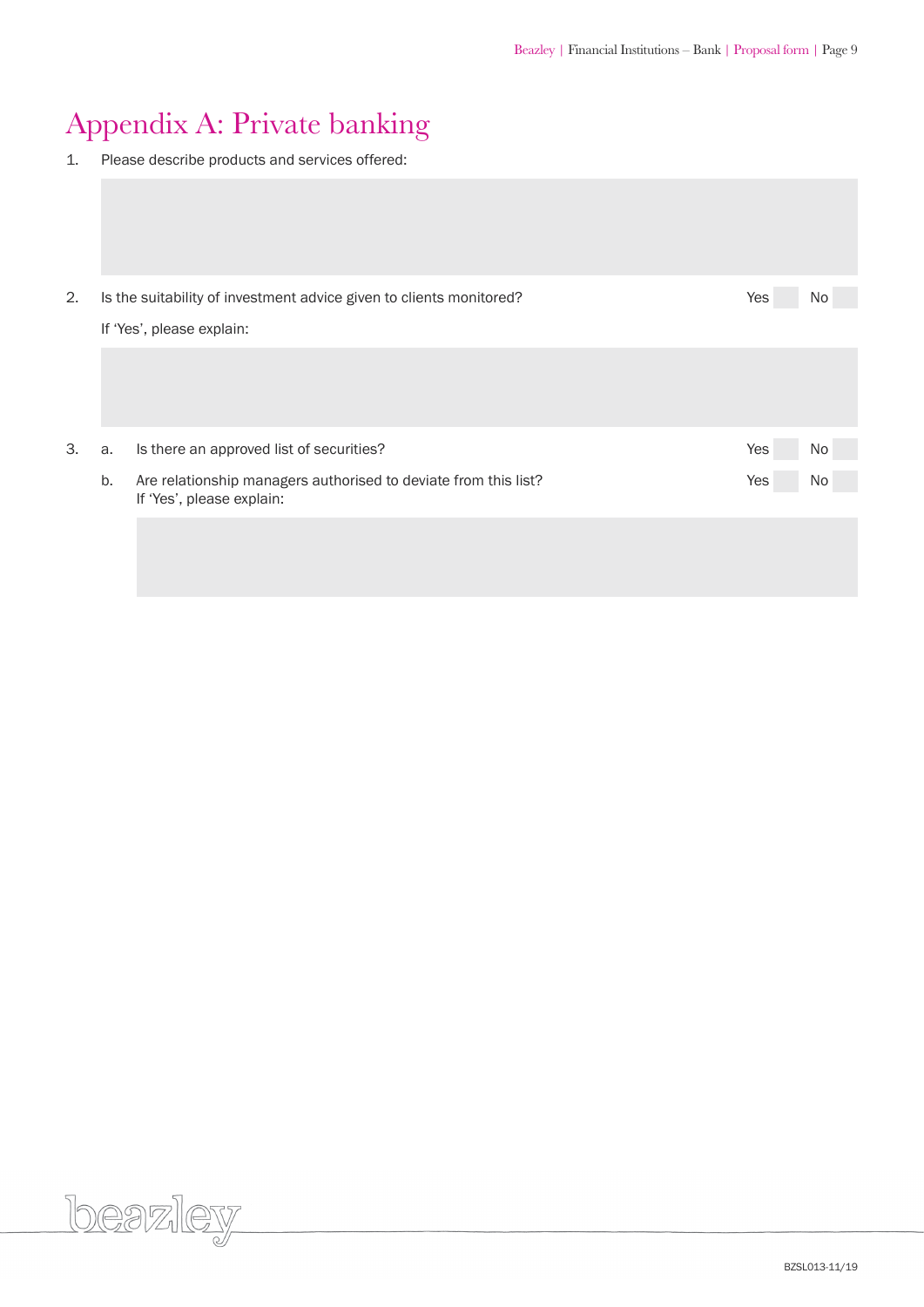### Appendix A: Private banking

1. Please describe products and services offered:

| 2. |    | Is the suitability of investment advice given to clients monitored?                          | Yes | No  |  |  |  |
|----|----|----------------------------------------------------------------------------------------------|-----|-----|--|--|--|
|    |    | If 'Yes', please explain:                                                                    |     |     |  |  |  |
|    |    |                                                                                              |     |     |  |  |  |
| 3. | a. | Is there an approved list of securities?                                                     | Yes | No. |  |  |  |
|    | b. | Are relationship managers authorised to deviate from this list?<br>If 'Yes', please explain: | Yes | No. |  |  |  |
|    |    |                                                                                              |     |     |  |  |  |

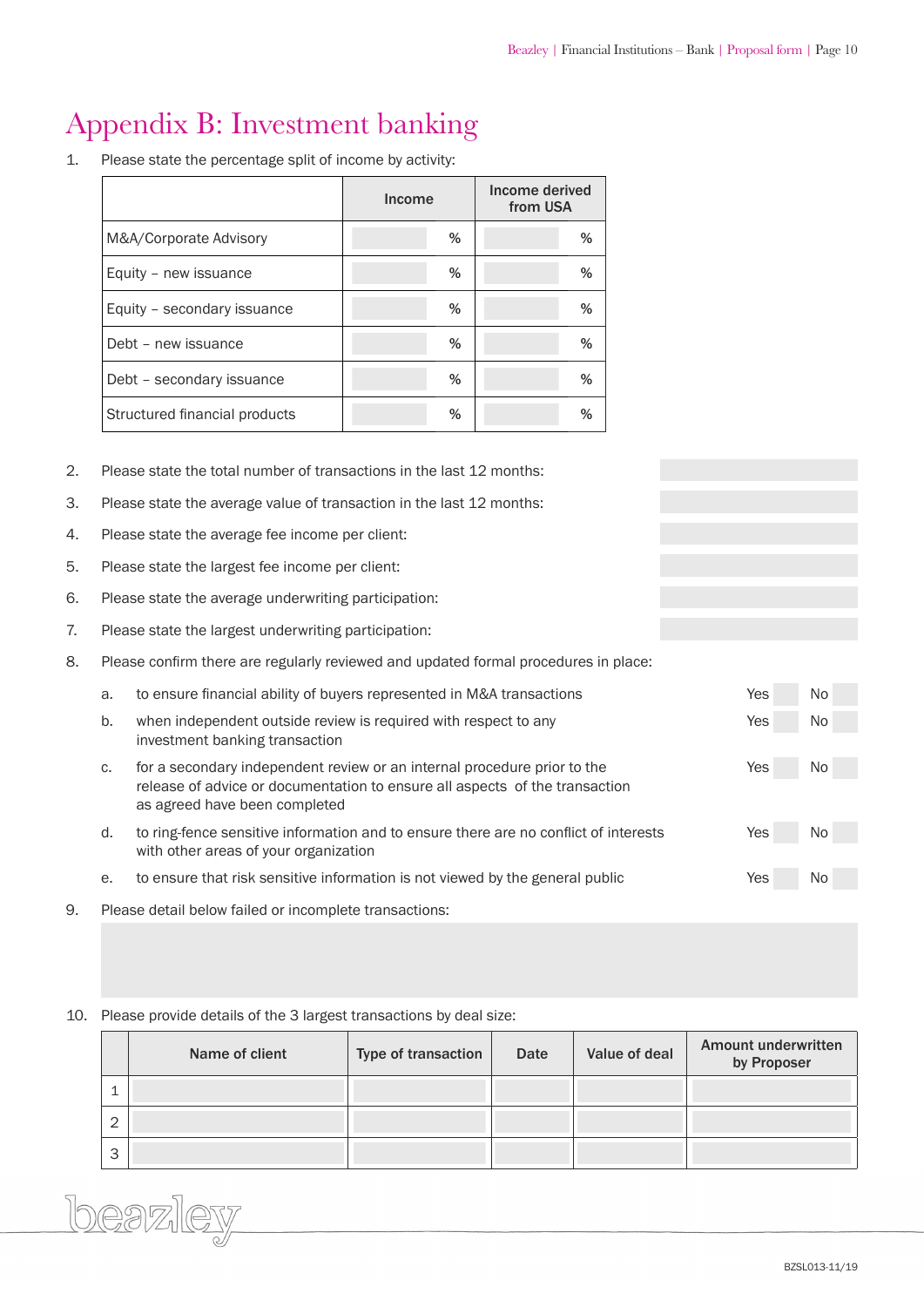### Appendix B: Investment banking

1. Please state the percentage split of income by activity:

|                               | <b>Income</b> | Income derived<br>from USA |
|-------------------------------|---------------|----------------------------|
| M&A/Corporate Advisory        | %             | %                          |
| Equity - new issuance         | %             | %                          |
| Equity - secondary issuance   | %             | %                          |
| Debt - new issuance           | %             | %                          |
| Debt - secondary issuance     | %             | %                          |
| Structured financial products | %             | %                          |

- 2. Please state the total number of transactions in the last 12 months:
- 3. Please state the average value of transaction in the last 12 months:
- 4. Please state the average fee income per client:
- 5. Please state the largest fee income per client:
- 6. Please state the average underwriting participation:
- 7. Please state the largest underwriting participation:
- 8. Please confirm there are regularly reviewed and updated formal procedures in place:

|    | a. | to ensure financial ability of buyers represented in M&A transactions                                                                                                                    | Yes | No. |
|----|----|------------------------------------------------------------------------------------------------------------------------------------------------------------------------------------------|-----|-----|
|    | b. | when independent outside review is required with respect to any<br>investment banking transaction                                                                                        | Yes | No. |
|    | C. | for a secondary independent review or an internal procedure prior to the<br>release of advice or documentation to ensure all aspects of the transaction<br>as agreed have been completed | Yes | No. |
|    | d. | to ring-fence sensitive information and to ensure there are no conflict of interests<br>with other areas of your organization                                                            | Yes | No. |
|    | е. | to ensure that risk sensitive information is not viewed by the general public                                                                                                            | Yes | No. |
| 9. |    | Please detail below failed or incomplete transactions:                                                                                                                                   |     |     |

#### 10. Please provide details of the 3 largest transactions by deal size:

|             | Name of client | Type of transaction | <b>Date</b> | Value of deal | <b>Amount underwritten</b><br>by Proposer |
|-------------|----------------|---------------------|-------------|---------------|-------------------------------------------|
| ᅩ           |                |                     |             |               |                                           |
| $\sim$<br>∠ |                |                     |             |               |                                           |
| 3           |                |                     |             |               |                                           |